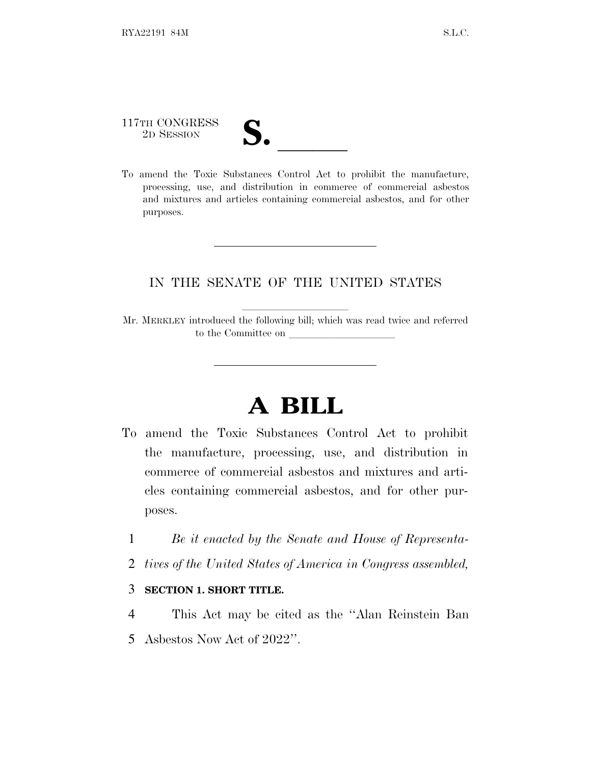## 117TH CONGRESS 117TH CONGRESS<br>
2D SESSION<br>
To amend the Toxic Substances Control Act to prohibit the manufacture,

processing, use, and distribution in commerce of commercial asbestos and mixtures and articles containing commercial asbestos, and for other purposes.

## IN THE SENATE OF THE UNITED STATES

Mr. MERKLEY introduced the following bill; which was read twice and referred to the Committee on

## **A BILL**

- To amend the Toxic Substances Control Act to prohibit the manufacture, processing, use, and distribution in commerce of commercial asbestos and mixtures and articles containing commercial asbestos, and for other purposes.
	- 1 *Be it enacted by the Senate and House of Representa-*
	- 2 *tives of the United States of America in Congress assembled,*

## 3 **SECTION 1. SHORT TITLE.**

4 This Act may be cited as the ''Alan Reinstein Ban 5 Asbestos Now Act of 2022''.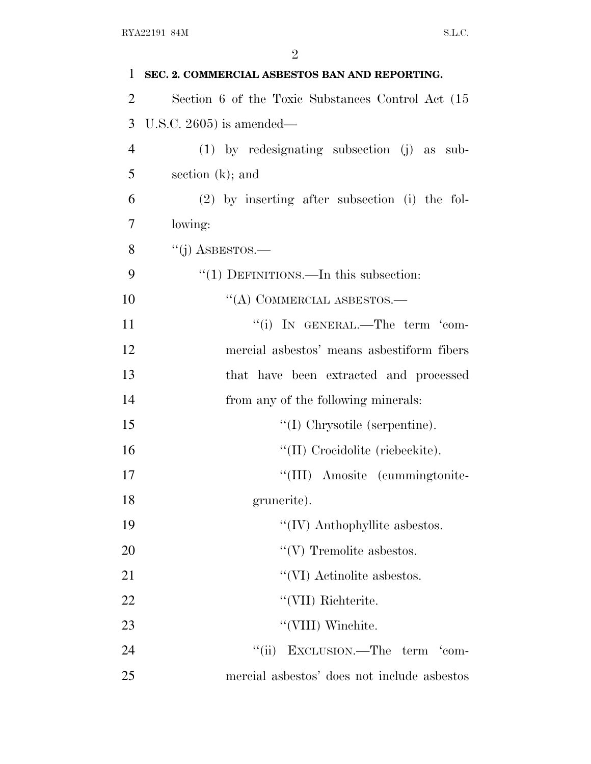| 1              | SEC. 2. COMMERCIAL ASBESTOS BAN AND REPORTING.    |
|----------------|---------------------------------------------------|
| $\overline{2}$ | Section 6 of the Toxic Substances Control Act (15 |
| 3              | U.S.C. $2605$ ) is amended—                       |
| $\overline{4}$ | (1) by redesignating subsection (j) as sub-       |
| 5              | section $(k)$ ; and                               |
| 6              | $(2)$ by inserting after subsection (i) the fol-  |
| 7              | lowing:                                           |
| 8              | "(j) ASBESTOS.—                                   |
| 9              | " $(1)$ DEFINITIONS.—In this subsection:          |
| 10             | "(A) COMMERCIAL ASBESTOS.—                        |
| 11             | "(i) IN GENERAL.—The term 'com-                   |
| 12             | mercial asbestos' means asbestiform fibers        |
| 13             | that have been extracted and processed            |
| 14             | from any of the following minerals:               |
| 15             | $\lq\lq$ (I) Chrysotile (serpentine).             |
| 16             | "(II) Crocidolite (riebeckite).                   |
| 17             | "(III) Amosite (cummingtonite-                    |
| 18             | grunerite).                                       |
| 19             | $\lq\lq$ (IV) Anthophyllite asbestos.             |
| 20             | $\lq\lq(V)$ Tremolite as<br>bestos.               |
| 21             | "(VI) Actinolite asbestos.                        |
| 22             | "(VII) Richterite.                                |
| 23             | "(VIII) Winchite.                                 |
| 24             | EXCLUSION.—The term 'com-<br>``(ii)               |
| 25             | mercial asbestos' does not include asbestos       |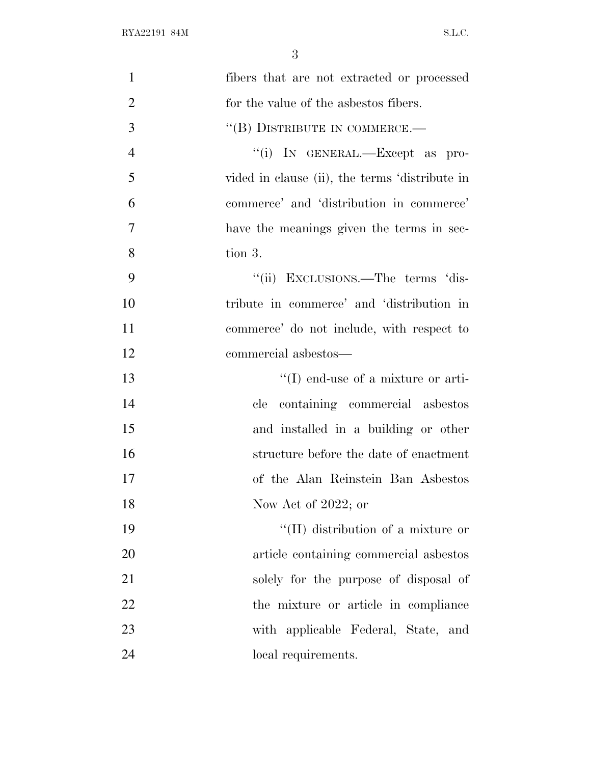| $\mathbf{1}$   | fibers that are not extracted or processed     |
|----------------|------------------------------------------------|
| $\overline{2}$ | for the value of the asbestos fibers.          |
| 3              | "(B) DISTRIBUTE IN COMMERCE.—                  |
| $\overline{4}$ | "(i) IN GENERAL.—Except as pro-                |
| 5              | vided in clause (ii), the terms 'distribute in |
| 6              | commerce' and 'distribution in commerce'       |
| 7              | have the meanings given the terms in sec-      |
| 8              | tion 3.                                        |
| 9              | "(ii) EXCLUSIONS.—The terms 'dis-              |
| 10             | tribute in commerce' and 'distribution in      |
| 11             | commerce' do not include, with respect to      |
| 12             | commercial asbestos—                           |
| 13             | $\lq\lq$ end-use of a mixture or arti-         |
| 14             | containing commercial asbestos<br>$e$ le       |
| 15             | and installed in a building or other           |
| 16             | structure before the date of enactment         |
| 17             | of the Alan Reinstein Ban Asbestos             |
| 18             | Now Act of 2022; or                            |
| 19             | "(II) distribution of a mixture or             |
| 20             | article containing commercial asbestos         |
| 21             | solely for the purpose of disposal of          |
| 22             | the mixture or article in compliance           |
| 23             | with applicable Federal, State, and            |
| 24             | local requirements.                            |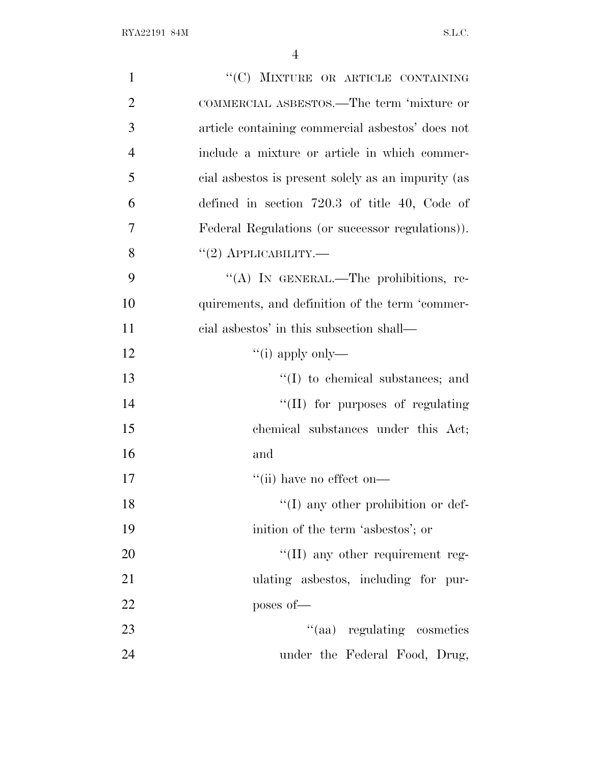| $\mathbf{1}$   | "(C) MIXTURE OR ARTICLE CONTAINING                 |
|----------------|----------------------------------------------------|
| $\overline{2}$ | COMMERCIAL ASBESTOS.—The term 'mixture or          |
| 3              | article containing commercial asbestos' does not   |
| $\overline{4}$ | include a mixture or article in which commer-      |
| 5              | cial asbestos is present solely as an impurity (as |
| 6              | defined in section $720.3$ of title 40, Code of    |
| 7              | Federal Regulations (or successor regulations)).   |
| 8              | $``(2)$ APPLICABILITY.—                            |
| 9              | "(A) IN GENERAL.—The prohibitions, re-             |
| 10             | quirements, and definition of the term 'commer-    |
| 11             | cial asbestos' in this subsection shall—           |
| 12             | "(i) apply only—                                   |
| 13             | $\lq\lq$ to chemical substances; and               |
| 14             | "(II) for purposes of regulating                   |
| 15             | chemical substances under this Act;                |
| 16             | and                                                |
| 17             | $``$ (ii) have no effect on—                       |
| 18             | $\lq\lq$ (I) any other prohibition or def-         |
| 19             | inition of the term 'asbestos'; or                 |
| 20             | $\lq\lq$ (II) any other requirement reg-           |
| 21             | ulating asbestos, including for pur-               |
| 22             | poses of-                                          |
| 23             | "(aa) regulating cosmetics                         |
| 24             | under the Federal Food, Drug,                      |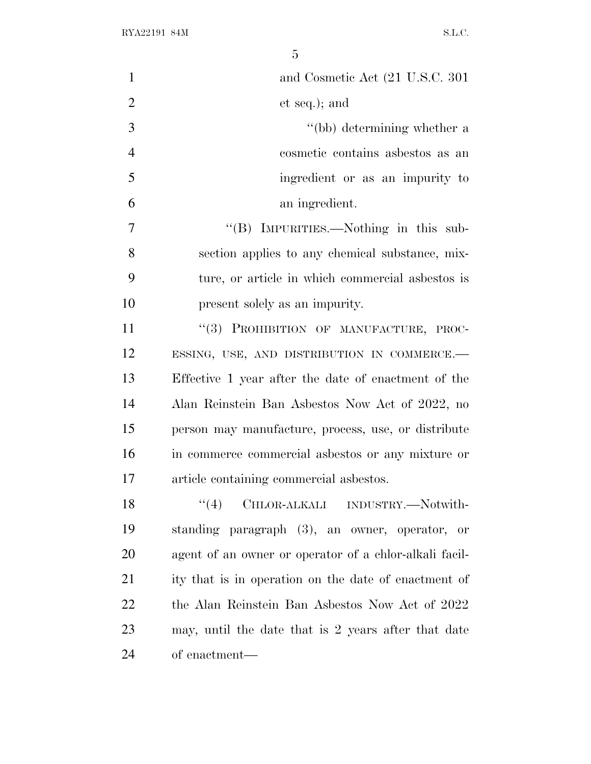| $\mathbf{1}$   | and Cosmetic Act (21 U.S.C. 301)                       |
|----------------|--------------------------------------------------------|
| $\overline{2}$ | et seq.); and                                          |
| 3              | "(bb) determining whether a                            |
| $\overline{4}$ | cosmetic contains asbestos as an                       |
| 5              | ingredient or as an impurity to                        |
| 6              | an ingredient.                                         |
| $\tau$         | "(B) IMPURITIES.—Nothing in this sub-                  |
| 8              | section applies to any chemical substance, mix-        |
| 9              | ture, or article in which commercial asbestos is       |
| 10             | present solely as an impurity.                         |
| 11             | "(3) PROHIBITION OF MANUFACTURE, PROC-                 |
| 12             | ESSING, USE, AND DISTRIBUTION IN COMMERCE.-            |
| 13             | Effective 1 year after the date of enactment of the    |
| 14             | Alan Reinstein Ban Asbestos Now Act of 2022, no        |
| 15             | person may manufacture, process, use, or distribute    |
| 16             | in commerce commercial asbestos or any mixture or      |
| 17             | article containing commercial asbestos.                |
| 18             | "(4) CHLOR-ALKALI INDUSTRY.—Notwith-                   |
| 19             | standing paragraph (3), an owner, operator, or         |
| 20             | agent of an owner or operator of a chlor-alkali facil- |
| 21             | ity that is in operation on the date of enactment of   |
| 22             | the Alan Reinstein Ban Asbestos Now Act of 2022        |
| 23             | may, until the date that is 2 years after that date    |
| 24             | of enactment—                                          |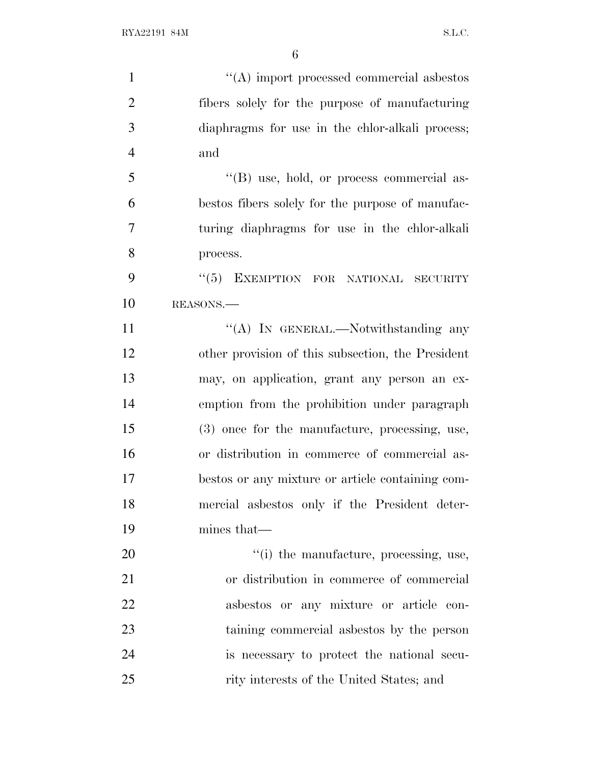$\langle (A) \rangle$  import processed commercial asbestos fibers solely for the purpose of manufacturing diaphragms for use in the chlor-alkali process; and ''(B) use, hold, or process commercial as- bestos fibers solely for the purpose of manufac- turing diaphragms for use in the chlor-alkali process. 9 "(5) EXEMPTION FOR NATIONAL SECURITY REASONS.— 11 "(A) IN GENERAL.—Notwithstanding any other provision of this subsection, the President may, on application, grant any person an ex- emption from the prohibition under paragraph (3) once for the manufacture, processing, use, or distribution in commerce of commercial as- bestos or any mixture or article containing com- mercial asbestos only if the President deter- mines that—  $\frac{1}{20}$  the manufacture, processing, use, or distribution in commerce of commercial asbestos or any mixture or article con- taining commercial asbestos by the person is necessary to protect the national secu-25 rity interests of the United States; and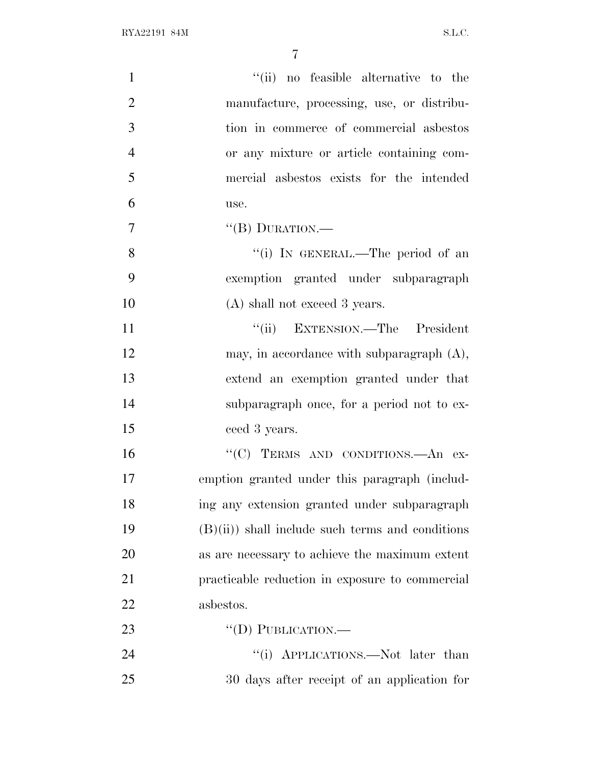| $\mathbf{1}$   | "(ii) no feasible alternative to the              |
|----------------|---------------------------------------------------|
| $\overline{2}$ | manufacture, processing, use, or distribu-        |
| 3              | tion in commerce of commercial asbestos           |
| $\overline{4}$ | or any mixture or article containing com-         |
| 5              | mercial asbestos exists for the intended          |
| 6              | use.                                              |
| $\overline{7}$ | $``$ (B) DURATION.—                               |
| 8              | "(i) IN GENERAL.—The period of an                 |
| 9              | exemption granted under subparagraph              |
| 10             | (A) shall not exceed 3 years.                     |
| 11             | "(ii) EXTENSION.—The President                    |
| 12             | may, in accordance with subparagraph $(A)$ ,      |
| 13             | extend an exemption granted under that            |
| 14             | subparagraph once, for a period not to ex-        |
| 15             | ceed 3 years.                                     |
| 16             | "(C) TERMS AND CONDITIONS.—An ex-                 |
| 17             | emption granted under this paragraph (includ-     |
| 18             | ing any extension granted under subparagraph      |
| 19             | $(B)(ii)$ shall include such terms and conditions |
| 20             | as are necessary to achieve the maximum extent    |
| 21             | practicable reduction in exposure to commercial   |
| 22             | asbestos.                                         |
| 23             | $``$ (D) PUBLICATION.—                            |
| 24             | "(i) APPLICATIONS.—Not later than                 |
| 25             | 30 days after receipt of an application for       |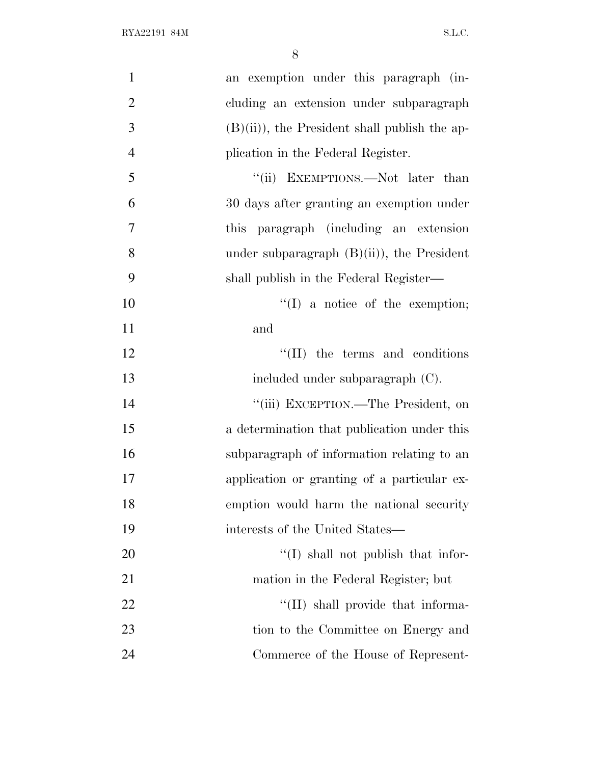| $\mathbf{1}$   | an exemption under this paragraph (in-          |
|----------------|-------------------------------------------------|
| $\overline{2}$ | cluding an extension under subparagraph         |
| 3              | $(B)(ii)$ , the President shall publish the ap- |
| $\overline{4}$ | plication in the Federal Register.              |
| 5              | "(ii) EXEMPTIONS.—Not later than                |
| 6              | 30 days after granting an exemption under       |
| 7              | this paragraph (including an extension          |
| 8              | under subparagraph $(B)(ii)$ , the President    |
| 9              | shall publish in the Federal Register—          |
| 10             | $\lq\lq$ (I) a notice of the exemption;         |
| 11             | and                                             |
| 12             | $\lq\lq$ (II) the terms and conditions          |
| 13             | included under subparagraph (C).                |
| 14             | "(iii) EXCEPTION.—The President, on             |
| 15             | a determination that publication under this     |
| 16             | subparagraph of information relating to an      |
| 17             | application or granting of a particular ex-     |
| 18             | emption would harm the national security        |
| 19             | interests of the United States—                 |
| 20             | "(I) shall not publish that infor-              |
| 21             | mation in the Federal Register; but             |
| 22             | $\lq$ (II) shall provide that informa-          |
| 23             | tion to the Committee on Energy and             |
| 24             | Commerce of the House of Represent-             |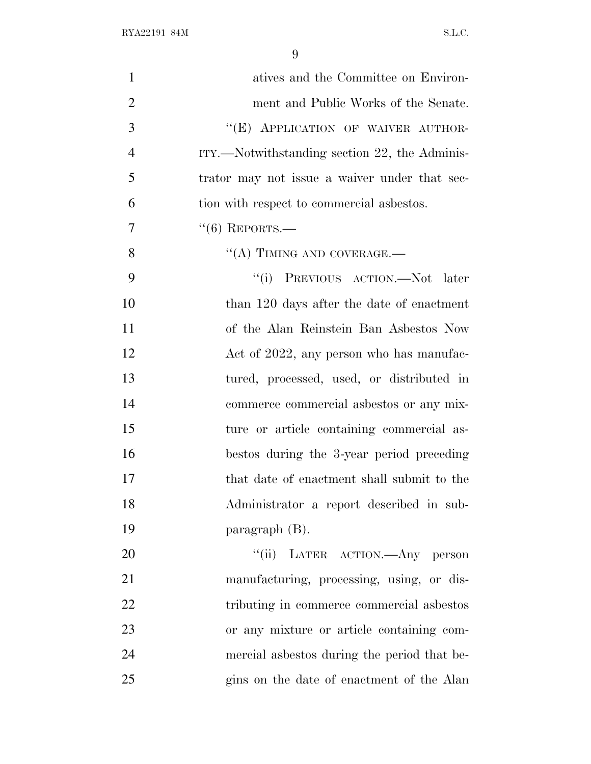$\begin{minipage}{.4\linewidth} \begin{tabular}{l} \bf{RYA22191 \ 84M} \end{tabular} \end{minipage}$ 

| $\mathbf{1}$   | atives and the Committee on Environ-          |
|----------------|-----------------------------------------------|
| $\overline{2}$ | ment and Public Works of the Senate.          |
| 3              | "(E) APPLICATION OF WAIVER AUTHOR-            |
| $\overline{4}$ | ITY.—Notwithstanding section 22, the Adminis- |
| 5              | trator may not issue a waiver under that sec- |
| 6              | tion with respect to commercial asbestos.     |
| 7              | $``(6)$ REPORTS.—                             |
| 8              | $\lq\lq$ (A) TIMING AND COVERAGE.—            |
| 9              | "(i) PREVIOUS ACTION.—Not later               |
| 10             | than 120 days after the date of enactment     |
| 11             | of the Alan Reinstein Ban Asbestos Now        |
| 12             | Act of 2022, any person who has manufac-      |
| 13             | tured, processed, used, or distributed in     |
| 14             | commerce commercial asbestos or any mix-      |
| 15             | ture or article containing commercial as-     |
| 16             | bestos during the 3-year period preceding     |
| 17             | that date of enactment shall submit to the    |
| 18             | Administrator a report described in sub-      |
| 19             | paragraph $(B)$ .                             |
| 20             | "(ii) LATER ACTION. Any person                |
| 21             | manufacturing, processing, using, or dis-     |
| 22             | tributing in commerce commercial asbestos     |
| 23             | or any mixture or article containing com-     |
| 24             | mercial aspessors during the period that be-  |
| 25             | gins on the date of enactment of the Alan     |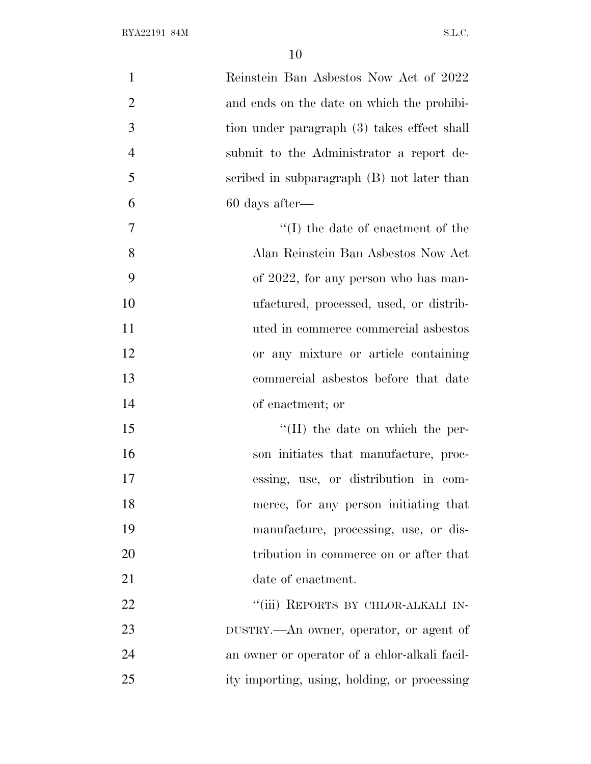| $\mathbf{1}$   | Reinstein Ban Asbestos Now Act of 2022        |
|----------------|-----------------------------------------------|
| $\overline{2}$ | and ends on the date on which the prohibi-    |
| 3              | tion under paragraph (3) takes effect shall   |
| $\overline{4}$ | submit to the Administrator a report de-      |
| 5              | scribed in subparagraph (B) not later than    |
| 6              | $60$ days after—                              |
| $\overline{7}$ | $\lq\lq$ (I) the date of enactment of the     |
| 8              | Alan Reinstein Ban Asbestos Now Act           |
| 9              | of 2022, for any person who has man-          |
| 10             | ufactured, processed, used, or distrib-       |
| 11             | uted in commerce commercial asbestos          |
| 12             | or any mixture or article containing          |
| 13             | commercial asbestos before that date          |
| 14             | of enactment; or                              |
| 15             | $\lq\lq$ (II) the date on which the per-      |
| 16             | son initiates that manufacture, proc-         |
| 17             | essing, use, or distribution in com-          |
| 18             | merce, for any person initiating that         |
| 19             | manufacture, processing, use, or dis-         |
| 20             | tribution in commerce on or after that        |
| 21             | date of enactment.                            |
| 22             | "(iii) REPORTS BY CHLOR-ALKALI IN-            |
| 23             | DUSTRY.—An owner, operator, or agent of       |
| 24             | an owner or operator of a chlor-alkali facil- |
| 25             | ity importing, using, holding, or processing  |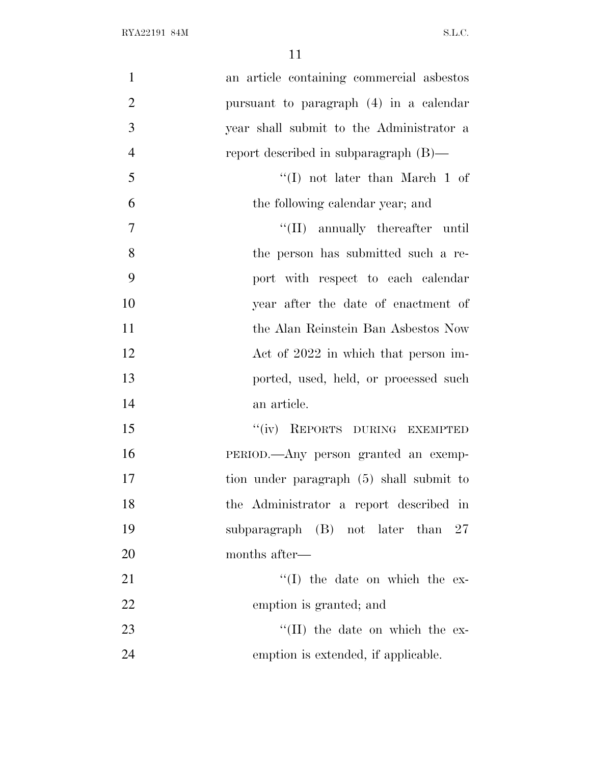| $\mathbf{1}$   | an article containing commercial asbestos |
|----------------|-------------------------------------------|
| $\overline{2}$ | pursuant to paragraph (4) in a calendar   |
| 3              | year shall submit to the Administrator a  |
| $\overline{4}$ | report described in subparagraph $(B)$ —  |
| 5              | "(I) not later than March 1 of            |
| 6              | the following calendar year; and          |
| 7              | "(II) annually thereafter until           |
| 8              | the person has submitted such a re-       |
| 9              | port with respect to each calendar        |
| 10             | year after the date of enactment of       |
| 11             | the Alan Reinstein Ban Asbestos Now       |
| 12             | Act of 2022 in which that person im-      |
| 13             | ported, used, held, or processed such     |
| 14             | an article.                               |
| 15             | "(iv) REPORTS DURING EXEMPTED             |
| 16             | PERIOD.—Any person granted an exemp-      |
| 17             | tion under paragraph (5) shall submit to  |
| 18             | the Administrator a report described in   |
| 19             | subparagraph (B) not later than<br>27     |
| 20             | months after—                             |
| 21             | $\lq\lq$ (I) the date on which the ex-    |
| 22             | emption is granted; and                   |
| 23             | $\lq\lq$ (II) the date on which the ex-   |
| 24             | emption is extended, if applicable.       |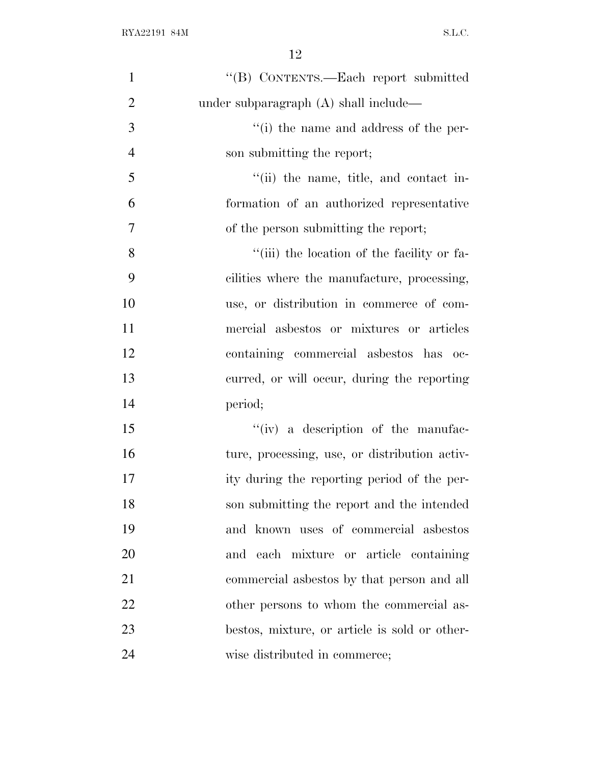| $\mathbf{1}$   | "(B) CONTENTS.—Each report submitted          |
|----------------|-----------------------------------------------|
| $\overline{2}$ | under subparagraph (A) shall include—         |
| 3              | "(i) the name and address of the per-         |
| $\overline{4}$ | son submitting the report;                    |
| 5              | "(ii) the name, title, and contact in-        |
| 6              | formation of an authorized representative     |
| $\overline{7}$ | of the person submitting the report;          |
| 8              | "(iii) the location of the facility or fa-    |
| 9              | cilities where the manufacture, processing,   |
| 10             | use, or distribution in commerce of com-      |
| 11             | mercial asbestos or mixtures or articles      |
| 12             | containing commercial asbestos has oc-        |
| 13             | curred, or will occur, during the reporting   |
| 14             | period;                                       |
| 15             | $``(iv)$ a description of the manufac-        |
| 16             | ture, processing, use, or distribution activ- |
| 17             | ity during the reporting period of the per-   |
| 18             | son submitting the report and the intended    |
| 19             | and known uses of commercial asbestos         |
| 20             | and each mixture or article containing        |
| 21             | commercial asbestos by that person and all    |
| 22             | other persons to whom the commercial as-      |
| 23             | bestos, mixture, or article is sold or other- |
| 24             | wise distributed in commerce;                 |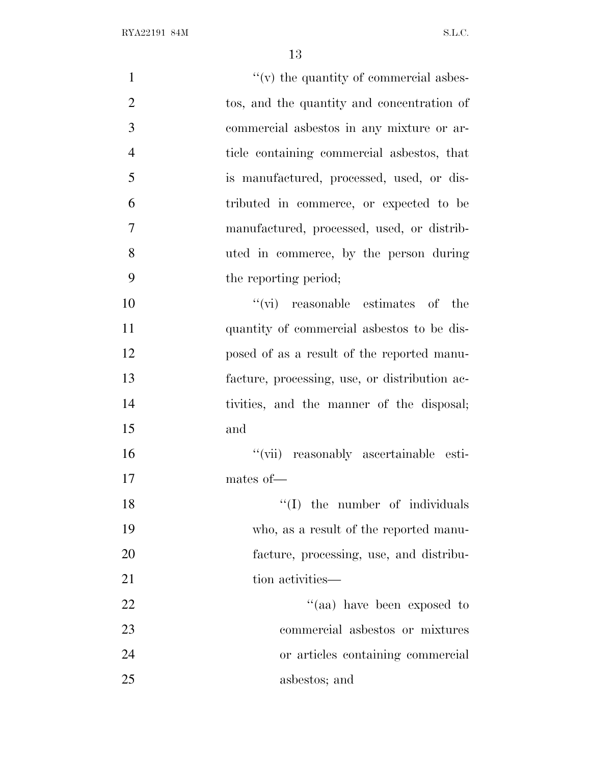| $\mathbf{1}$   | $f'(v)$ the quantity of commercial asbes-     |
|----------------|-----------------------------------------------|
| $\overline{2}$ | tos, and the quantity and concentration of    |
| 3              | commercial asbestos in any mixture or ar-     |
| $\overline{4}$ | ticle containing commercial asbestos, that    |
| 5              | is manufactured, processed, used, or dis-     |
| 6              | tributed in commerce, or expected to be       |
| $\overline{7}$ | manufactured, processed, used, or distrib-    |
| 8              | uted in commerce, by the person during        |
| 9              | the reporting period;                         |
| 10             | $\lq\lq$ (vi) reasonable estimates of the     |
| 11             | quantity of commercial asbestos to be dis-    |
| 12             | posed of as a result of the reported manu-    |
| 13             | facture, processing, use, or distribution ac- |
| 14             | tivities, and the manner of the disposal;     |
| 15             | and                                           |
| 16             | "(vii) reasonably ascertainable esti-         |
| 17             | mates of-                                     |
| 18             | $f'(I)$ the number of individuals             |
| 19             | who, as a result of the reported manu-        |
| 20             | facture, processing, use, and distribu-       |
| 21             | tion activities—                              |
| 22             | "(aa) have been exposed to                    |
| 23             | commercial asbestos or mixtures               |
| 24             | or articles containing commercial             |
| 25             | asbestos; and                                 |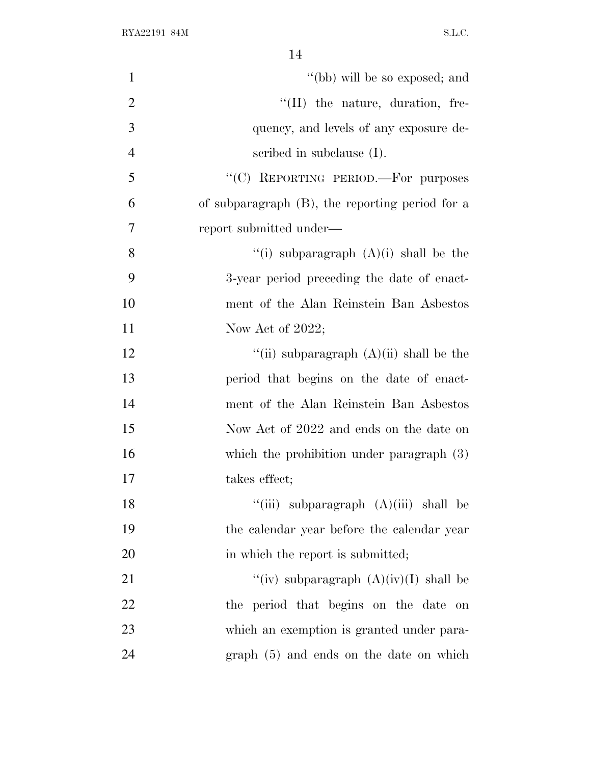| $\mathbf{1}$   | "(bb) will be so exposed; and                   |
|----------------|-------------------------------------------------|
| $\overline{2}$ | "(II) the nature, duration, fre-                |
| 3              | quency, and levels of any exposure de-          |
| $\overline{4}$ | scribed in subclause $(I)$ .                    |
| 5              | "(C) REPORTING PERIOD.—For purposes             |
| 6              | of subparagraph (B), the reporting period for a |
| 7              | report submitted under—                         |
| 8              | "(i) subparagraph $(A)(i)$ shall be the         |
| 9              | 3-year period preceding the date of enact-      |
| 10             | ment of the Alan Reinstein Ban Asbestos         |
| 11             | Now Act of $2022$ ;                             |
| 12             | "(ii) subparagraph $(A)(ii)$ shall be the       |
| 13             | period that begins on the date of enact-        |
| 14             | ment of the Alan Reinstein Ban Asbestos         |
| 15             | Now Act of 2022 and ends on the date on         |
| 16             | which the prohibition under paragraph $(3)$     |
| 17             | takes effect;                                   |
| 18             | "(iii) subparagraph $(A)(iii)$ shall be         |
| 19             | the calendar year before the calendar year      |
| 20             | in which the report is submitted;               |
| 21             | "(iv) subparagraph $(A)(iv)(I)$ shall be        |
| 22             | the period that begins on the date on           |
| 23             | which an exemption is granted under para-       |
| 24             | graph (5) and ends on the date on which         |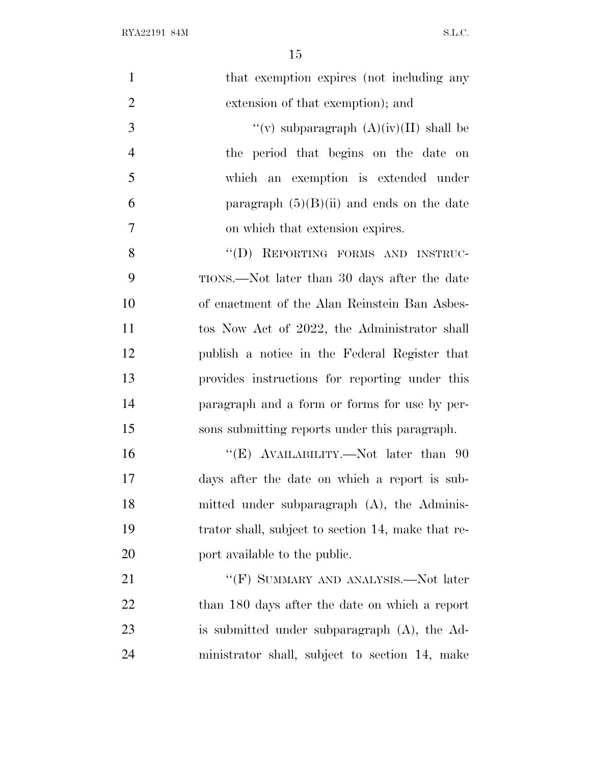$\begin{minipage}{.4\linewidth} \begin{tabular}{l} \bf{RYA22191 \ 84M} \end{tabular} \end{minipage}$ 

| $\mathbf{1}$   | that exemption expires (not including any          |
|----------------|----------------------------------------------------|
| $\overline{2}$ | extension of that exemption); and                  |
| 3              | "(v) subparagraph $(A)(iv)(II)$ shall be           |
| $\overline{4}$ | the period that begins on the date on              |
| 5              | which an exemption is extended under               |
| 6              | paragraph $(5)(B)(ii)$ and ends on the date        |
| $\tau$         | on which that extension expires.                   |
| 8              | "(D) REPORTING FORMS AND INSTRUC-                  |
| 9              | TIONS.—Not later than 30 days after the date       |
| 10             | of enactment of the Alan Reinstein Ban Asbes-      |
| 11             | tos Now Act of 2022, the Administrator shall       |
| 12             | publish a notice in the Federal Register that      |
| 13             | provides instructions for reporting under this     |
| 14             | paragraph and a form or forms for use by per-      |
| 15             | sons submitting reports under this paragraph.      |
| 16             | "(E) AVAILABILITY.—Not later than 90               |
| 17             | days after the date on which a report is sub-      |
| 18             | mitted under subparagraph (A), the Adminis-        |
| 19             | trator shall, subject to section 14, make that re- |
| 20             | port available to the public.                      |
| 21             | "(F) SUMMARY AND ANALYSIS.—Not later               |
| 22             | than 180 days after the date on which a report     |
| 23             | is submitted under subparagraph (A), the Ad-       |
| 24             | ministrator shall, subject to section 14, make     |